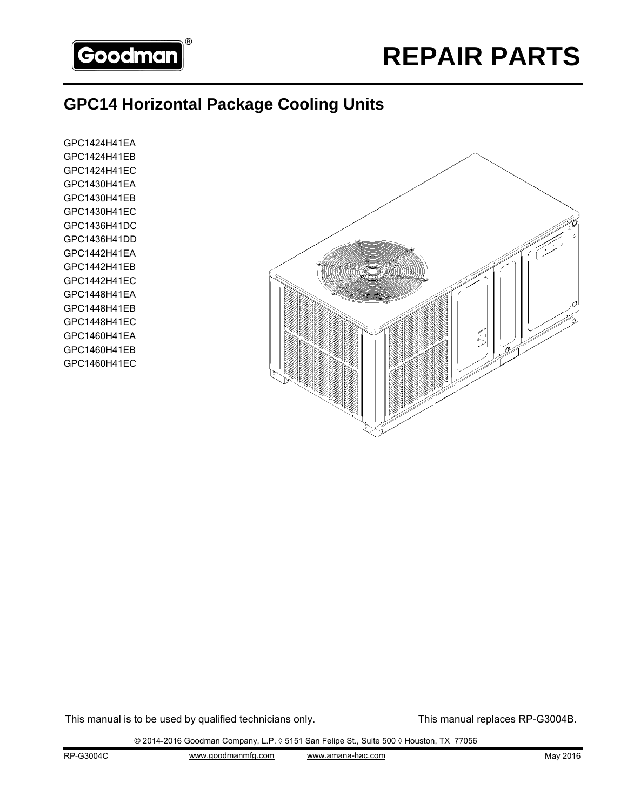

# **GPC14 Horizontal Package Cooling Units**

GPC1424H41EA GPC1424H41EB GPC1424H41EC GPC1430H41EA GPC1430H41EB GPC1430H41EC GPC1436H41DC GPC1436H41DD GPC1442H41EA GPC1442H41EB GPC1442H41EC GPC1448H41EA GPC1448H41EB GPC1448H41EC GPC1460H41EA GPC1460H41EB GPC1460H41EC



This manual is to be used by qualified technicians only. This manual replaces RP-G3004B.

© 2014-2016 Goodman Company, L.P. ◊ 5151 San Felipe St., Suite 500 ◊ Houston, TX 77056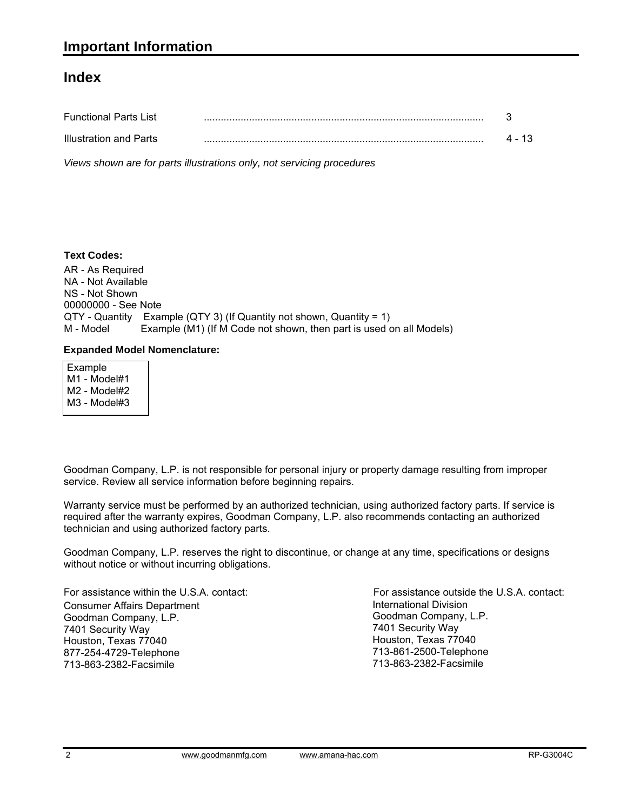#### **Index**

| <b>Functional Parts List</b> |        |
|------------------------------|--------|
| Illustration and Parts       | 4 - 13 |

*Views shown are for parts illustrations only, not servicing procedures*

#### **Text Codes:**

AR - As Required NA - Not Available NS - Not Shown 00000000 - See Note QTY - Quantity Example (QTY 3) (If Quantity not shown, Quantity = 1) M - Model Example (M1) (If M Code not shown, then part is used on all Models)

#### **Expanded Model Nomenclature:**

 Example M1 - Model#1 M2 - Model#2 M3 - Model#3

Goodman Company, L.P. is not responsible for personal injury or property damage resulting from improper service. Review all service information before beginning repairs.

Warranty service must be performed by an authorized technician, using authorized factory parts. If service is required after the warranty expires, Goodman Company, L.P. also recommends contacting an authorized technician and using authorized factory parts.

Goodman Company, L.P. reserves the right to discontinue, or change at any time, specifications or designs without notice or without incurring obligations.

For assistance within the U.S.A. contact: Consumer Affairs Department Goodman Company, L.P. 7401 Security Way Houston, Texas 77040 877-254-4729-Telephone 713-863-2382-Facsimile

International Division Goodman Company, L.P. 7401 Security Way Houston, Texas 77040 713-861-2500-Telephone 713-863-2382-Facsimile For assistance outside the U.S.A. contact: International Divisionwww.goodmanmfg.com www.amana-hac.com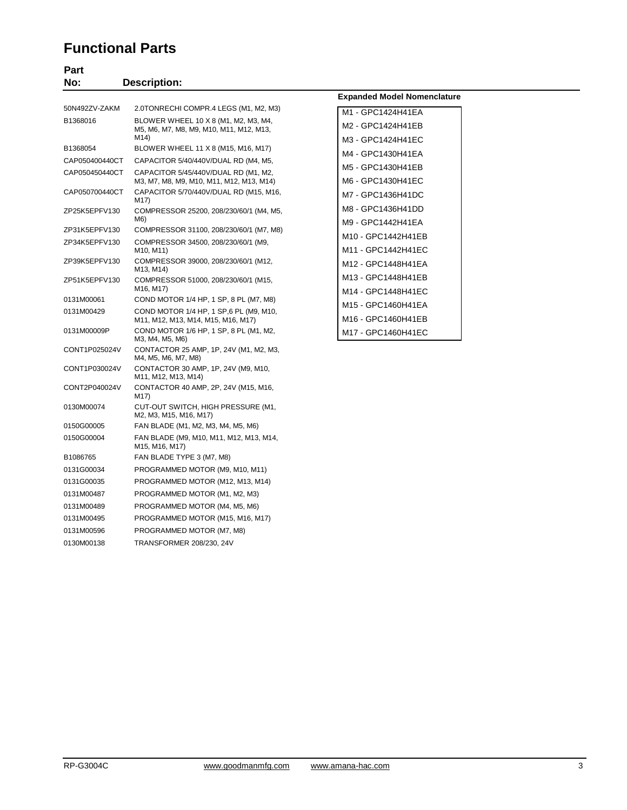#### **Functional Parts**

0131G00035 PROGRAMMED MOTOR (M12, M13, M14) 0131M00487 PROGRAMMED MOTOR (M1, M2, M3) 0131M00489 PROGRAMMED MOTOR (M4, M5, M6) 0131M00495 PROGRAMMED MOTOR (M15, M16, M17) 0131M00596 PROGRAMMED MOTOR (M7, M8) 0130M00138 TRANSFORMER 208/230, 24V

| No:            | <b>Description:</b>                                                                     |                                        |
|----------------|-----------------------------------------------------------------------------------------|----------------------------------------|
|                |                                                                                         | <b>Expanded Model Nomenclature</b>     |
| 50N492ZV-ZAKM  | 2.0TONRECHI COMPR.4 LEGS (M1, M2, M3)                                                   | M1 - GPC1424H41EA                      |
| B1368016       | BLOWER WHEEL 10 X 8 (M1, M2, M3, M4,<br>M5, M6, M7, M8, M9, M10, M11, M12, M13,<br>M14) | M2 - GPC1424H41EB                      |
| B1368054       | BLOWER WHEEL 11 X 8 (M15, M16, M17)                                                     | M3 - GPC1424H41EC                      |
| CAP050400440CT | CAPACITOR 5/40/440V/DUAL RD (M4, M5,                                                    | M4 - GPC1430H41EA                      |
| CAP050450440CT | CAPACITOR 5/45/440V/DUAL RD (M1, M2,<br>M3, M7, M8, M9, M10, M11, M12, M13, M14)        | M5 - GPC1430H41EB<br>M6 - GPC1430H41EC |
| CAP050700440CT | CAPACITOR 5/70/440V/DUAL RD (M15, M16,<br>M17)                                          | M7 - GPC1436H41DC                      |
| ZP25K5EPFV130  | COMPRESSOR 25200, 208/230/60/1 (M4, M5,                                                 | M8 - GPC1436H41DD                      |
| ZP31K5EPFV130  | M6)<br>COMPRESSOR 31100, 208/230/60/1 (M7, M8)                                          | M9 - GPC1442H41EA                      |
| ZP34K5EPFV130  | COMPRESSOR 34500, 208/230/60/1 (M9,                                                     | M10 - GPC1442H41EB                     |
|                | M <sub>10</sub> , M <sub>11</sub> )                                                     | M11 - GPC1442H41EC                     |
| ZP39K5EPFV130  | COMPRESSOR 39000, 208/230/60/1 (M12,<br>M13, M14)                                       | M12 - GPC1448H41EA                     |
| ZP51K5EPFV130  | COMPRESSOR 51000, 208/230/60/1 (M15,                                                    | M13 - GPC1448H41EB                     |
| 0131M00061     | M <sub>16</sub> , M <sub>17</sub> )<br>COND MOTOR 1/4 HP, 1 SP, 8 PL (M7, M8)           | M14 - GPC1448H41EC                     |
| 0131M00429     | COND MOTOR 1/4 HP, 1 SP, 6 PL (M9, M10,                                                 | M15 - GPC1460H41EA                     |
|                | M11, M12, M13, M14, M15, M16, M17)                                                      | M16 - GPC1460H41EB                     |
| 0131M00009P    | COND MOTOR 1/6 HP, 1 SP, 8 PL (M1, M2,<br>M3, M4, M5, M6)                               | M17 - GPC1460H41EC                     |
| CONT1P025024V  | CONTACTOR 25 AMP, 1P, 24V (M1, M2, M3,<br>M4, M5, M6, M7, M8)                           |                                        |
| CONT1P030024V  | CONTACTOR 30 AMP, 1P, 24V (M9, M10,<br>M11, M12, M13, M14)                              |                                        |
| CONT2P040024V  | CONTACTOR 40 AMP, 2P, 24V (M15, M16,<br>M17)                                            |                                        |
| 0130M00074     | CUT-OUT SWITCH, HIGH PRESSURE (M1,<br>M2, M3, M15, M16, M17)                            |                                        |
| 0150G00005     | FAN BLADE (M1, M2, M3, M4, M5, M6)                                                      |                                        |
| 0150G00004     | FAN BLADE (M9, M10, M11, M12, M13, M14,<br>M15, M16, M17)                               |                                        |
| B1086765       | FAN BLADE TYPE 3 (M7, M8)                                                               |                                        |
| 0131G00034     | PROGRAMMED MOTOR (M9, M10, M11)                                                         |                                        |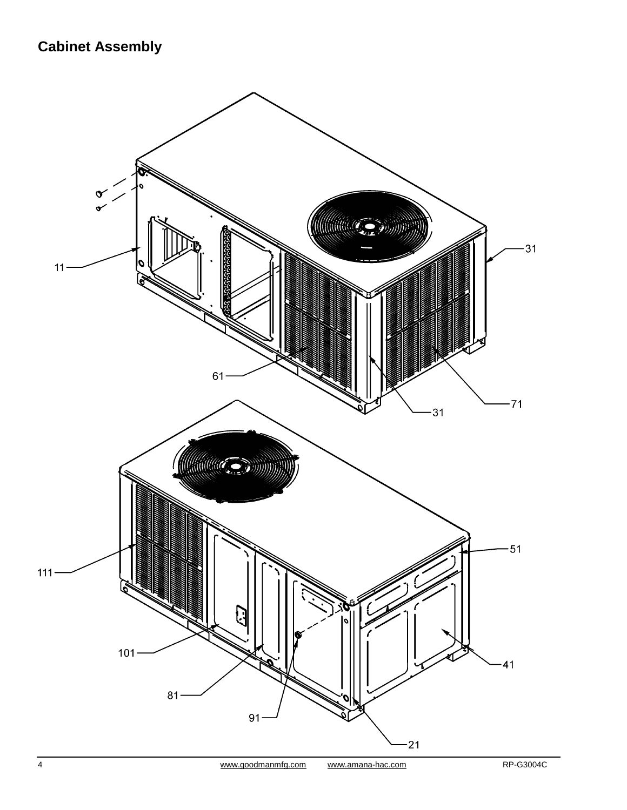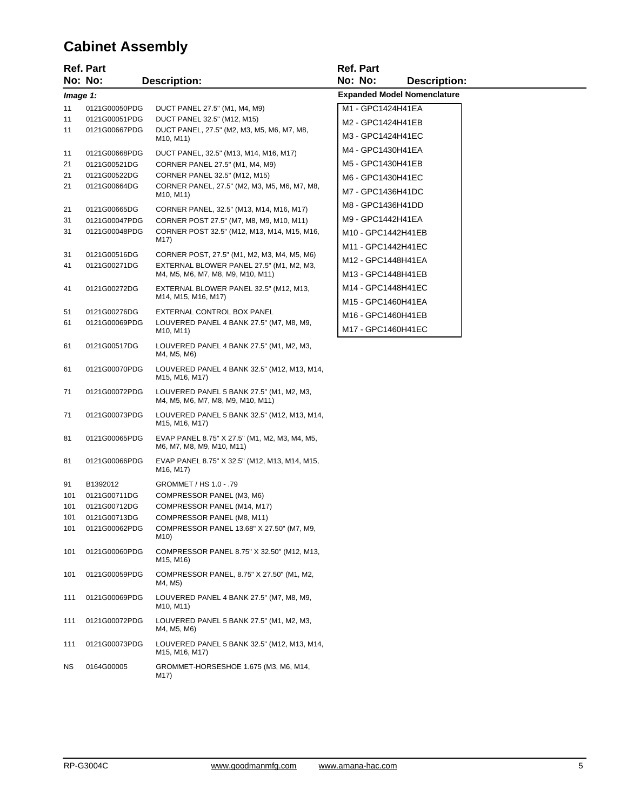# **Cabinet Assembly**

|            | <b>Ref. Part</b>             |                                                                                         | <b>Ref. Part</b>   |                                    |
|------------|------------------------------|-----------------------------------------------------------------------------------------|--------------------|------------------------------------|
|            | No: No:                      | <b>Description:</b>                                                                     | No: No:            | <b>Description:</b>                |
|            | Image 1:                     |                                                                                         |                    | <b>Expanded Model Nomenclature</b> |
| 11         | 0121G00050PDG                | DUCT PANEL 27.5" (M1, M4, M9)                                                           | M1 - GPC1424H41EA  |                                    |
| 11         | 0121G00051PDG                | DUCT PANEL 32.5" (M12, M15)                                                             | M2 - GPC1424H41EB  |                                    |
| 11         | 0121G00667PDG                | DUCT PANEL, 27.5" (M2, M3, M5, M6, M7, M8,<br>M <sub>10</sub> , M <sub>11</sub> )       | M3 - GPC1424H41EC  |                                    |
| 11         | 0121G00668PDG                | DUCT PANEL, 32.5" (M13, M14, M16, M17)                                                  | M4 - GPC1430H41EA  |                                    |
| 21         | 0121G00521DG                 | CORNER PANEL 27.5" (M1, M4, M9)                                                         | M5 - GPC1430H41EB  |                                    |
| 21         | 0121G00522DG                 | CORNER PANEL 32.5" (M12, M15)                                                           | M6 - GPC1430H41EC  |                                    |
| 21         | 0121G00664DG                 | CORNER PANEL, 27.5" (M2, M3, M5, M6, M7, M8,<br>M <sub>10</sub> , M <sub>11</sub> )     | M7 - GPC1436H41DC  |                                    |
| 21         | 0121G00665DG                 | CORNER PANEL, 32.5" (M13, M14, M16, M17)                                                | M8 - GPC1436H41DD  |                                    |
| 31         | 0121G00047PDG                | CORNER POST 27.5" (M7, M8, M9, M10, M11)                                                | M9 - GPC1442H41EA  |                                    |
| 31         | 0121G00048PDG                | CORNER POST 32.5" (M12, M13, M14, M15, M16,                                             | M10 - GPC1442H41EB |                                    |
|            |                              | M17)                                                                                    | M11 - GPC1442H41EC |                                    |
| 31<br>41   | 0121G00516DG<br>0121G00271DG | CORNER POST, 27.5" (M1, M2, M3, M4, M5, M6)<br>EXTERNAL BLOWER PANEL 27.5" (M1, M2, M3, | M12 - GPC1448H41EA |                                    |
|            |                              | M4, M5, M6, M7, M8, M9, M10, M11)                                                       | M13 - GPC1448H41EB |                                    |
| 41         | 0121G00272DG                 | EXTERNAL BLOWER PANEL 32.5" (M12, M13,                                                  | M14 - GPC1448H41EC |                                    |
|            |                              | M14, M15, M16, M17)                                                                     | M15 - GPC1460H41EA |                                    |
| 51         | 0121G00276DG                 | EXTERNAL CONTROL BOX PANEL                                                              | M16 - GPC1460H41EB |                                    |
| 61         | 0121G00069PDG                | LOUVERED PANEL 4 BANK 27.5" (M7, M8, M9,<br>M <sub>10</sub> , M <sub>11</sub> )         | M17 - GPC1460H41EC |                                    |
| 61         | 0121G00517DG                 | LOUVERED PANEL 4 BANK 27.5" (M1, M2, M3,<br>M4, M5, M6)                                 |                    |                                    |
| 61         | 0121G00070PDG                | LOUVERED PANEL 4 BANK 32.5" (M12, M13, M14,<br>M15, M16, M17)                           |                    |                                    |
| 71         | 0121G00072PDG                | LOUVERED PANEL 5 BANK 27.5" (M1, M2, M3,<br>M4, M5, M6, M7, M8, M9, M10, M11)           |                    |                                    |
| 71         | 0121G00073PDG                | LOUVERED PANEL 5 BANK 32.5" (M12, M13, M14,<br>M15, M16, M17)                           |                    |                                    |
| 81         | 0121G00065PDG                | EVAP PANEL 8.75" X 27.5" (M1, M2, M3, M4, M5,<br>M6, M7, M8, M9, M10, M11)              |                    |                                    |
| 81         | 0121G00066PDG                | EVAP PANEL 8.75" X 32.5" (M12, M13, M14, M15,<br>M16, M17)                              |                    |                                    |
| 91         | B1392012                     | GROMMET / HS 1.0 - .79                                                                  |                    |                                    |
| 101        | 0121G00711DG                 | COMPRESSOR PANEL (M3, M6)                                                               |                    |                                    |
| 101<br>101 | 0121G00712DG<br>0121G00713DG | COMPRESSOR PANEL (M14, M17)<br>COMPRESSOR PANEL (M8, M11)                               |                    |                                    |
| 101        | 0121G00062PDG                | COMPRESSOR PANEL 13.68" X 27.50" (M7, M9,<br>M10)                                       |                    |                                    |
| 101        | 0121G00060PDG                | COMPRESSOR PANEL 8.75" X 32.50" (M12, M13,<br>M15, M16)                                 |                    |                                    |
| 101        | 0121G00059PDG                | COMPRESSOR PANEL, 8.75" X 27.50" (M1, M2,<br>M4, M5)                                    |                    |                                    |
| 111        | 0121G00069PDG                | LOUVERED PANEL 4 BANK 27.5" (M7, M8, M9,<br>M <sub>10</sub> , M <sub>11</sub> )         |                    |                                    |
| 111        | 0121G00072PDG                | LOUVERED PANEL 5 BANK 27.5" (M1, M2, M3,<br>M4, M5, M6)                                 |                    |                                    |
| 111        | 0121G00073PDG                | LOUVERED PANEL 5 BANK 32.5" (M12, M13, M14,<br>M15, M16, M17)                           |                    |                                    |
| ΝS         | 0164G00005                   | GROMMET-HORSESHOE 1.675 (M3, M6, M14,<br>M17)                                           |                    |                                    |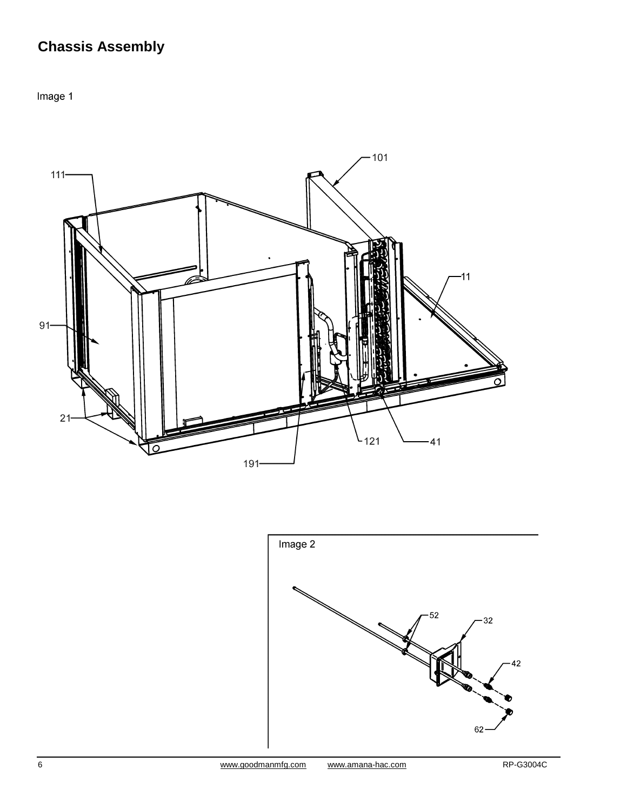# **Chassis Assembly**

Image 1



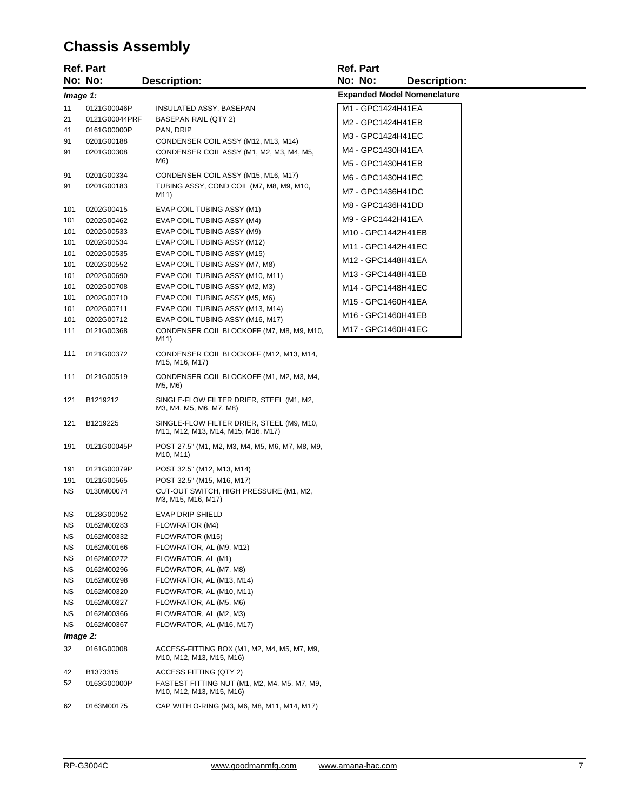# **Chassis Assembly**

|           | <b>Ref. Part</b> |                                                                                        | <b>Ref. Part</b>                   |
|-----------|------------------|----------------------------------------------------------------------------------------|------------------------------------|
|           | No: No:          | <b>Description:</b>                                                                    | No: No:<br><b>Description:</b>     |
| Image 1:  |                  |                                                                                        | <b>Expanded Model Nomenclature</b> |
| 11        | 0121G00046P      | INSULATED ASSY, BASEPAN                                                                | M1 - GPC1424H41EA                  |
| 21        | 0121G00044PRF    | <b>BASEPAN RAIL (QTY 2)</b>                                                            | M2 - GPC1424H41EB                  |
| 41        | 0161G00000P      | PAN, DRIP                                                                              |                                    |
| 91        | 0201G00188       | CONDENSER COIL ASSY (M12, M13, M14)                                                    | M3 - GPC1424H41EC                  |
| 91        | 0201G00308       | CONDENSER COIL ASSY (M1, M2, M3, M4, M5,<br>M6)                                        | M4 - GPC1430H41EA                  |
| 91        | 0201G00334       | CONDENSER COIL ASSY (M15, M16, M17)                                                    | M5 - GPC1430H41EB                  |
| 91        | 0201G00183       | TUBING ASSY, COND COIL (M7, M8, M9, M10,                                               | M6 - GPC1430H41EC                  |
|           |                  | M11)                                                                                   | M7 - GPC1436H41DC                  |
| 101       | 0202G00415       | EVAP COIL TUBING ASSY (M1)                                                             | M8 - GPC1436H41DD                  |
| 101       | 0202G00462       | EVAP COIL TUBING ASSY (M4)                                                             | M9 - GPC1442H41EA                  |
| 101       | 0202G00533       | EVAP COIL TUBING ASSY (M9)                                                             | M10 - GPC1442H41EB                 |
| 101       | 0202G00534       | EVAP COIL TUBING ASSY (M12)                                                            | M11 - GPC1442H41EC                 |
| 101       | 0202G00535       | EVAP COIL TUBING ASSY (M15)                                                            |                                    |
| 101       | 0202G00552       | EVAP COIL TUBING ASSY (M7, M8)                                                         | M12 - GPC1448H41EA                 |
| 101       | 0202G00690       | EVAP COIL TUBING ASSY (M10, M11)                                                       | M13 - GPC1448H41EB                 |
| 101       | 0202G00708       | EVAP COIL TUBING ASSY (M2, M3)                                                         | M14 - GPC1448H41EC                 |
| 101       | 0202G00710       | EVAP COIL TUBING ASSY (M5, M6)                                                         | M15 - GPC1460H41EA                 |
| 101       | 0202G00711       | EVAP COIL TUBING ASSY (M13, M14)                                                       |                                    |
| 101       | 0202G00712       | EVAP COIL TUBING ASSY (M16, M17)                                                       | M16 - GPC1460H41EB                 |
| 111       | 0121G00368       | CONDENSER COIL BLOCKOFF (M7, M8, M9, M10,<br>M11)                                      | M17 - GPC1460H41EC                 |
| 111       | 0121G00372       | CONDENSER COIL BLOCKOFF (M12, M13, M14,<br>M15, M16, M17)                              |                                    |
| 111       | 0121G00519       | CONDENSER COIL BLOCKOFF (M1, M2, M3, M4,<br>M5, M6)                                    |                                    |
| 121       | B1219212         | SINGLE-FLOW FILTER DRIER, STEEL (M1, M2,<br>M3, M4, M5, M6, M7, M8)                    |                                    |
| 121       | B1219225         | SINGLE-FLOW FILTER DRIER, STEEL (M9, M10,<br>M11, M12, M13, M14, M15, M16, M17)        |                                    |
| 191       | 0121G00045P      | POST 27.5" (M1, M2, M3, M4, M5, M6, M7, M8, M9,<br>M <sub>10</sub> , M <sub>11</sub> ) |                                    |
| 191       | 0121G00079P      | POST 32.5" (M12, M13, M14)                                                             |                                    |
| 191       | 0121G00565       | POST 32.5" (M15, M16, M17)                                                             |                                    |
| NS.       | 0130M00074       | CUT-OUT SWITCH, HIGH PRESSURE (M1, M2,<br>M3, M15, M16, M17)                           |                                    |
| <b>NS</b> | 0128G00052       | EVAP DRIP SHIELD                                                                       |                                    |
| NS        | 0162M00283       | FLOWRATOR (M4)                                                                         |                                    |
| ΝS        | 0162M00332       | FLOWRATOR (M15)                                                                        |                                    |
| ΝS        | 0162M00166       | FLOWRATOR, AL (M9, M12)                                                                |                                    |
| <b>NS</b> | 0162M00272       | FLOWRATOR, AL (M1)                                                                     |                                    |
| NS.       | 0162M00296       | FLOWRATOR, AL (M7, M8)                                                                 |                                    |
| ΝS        | 0162M00298       | FLOWRATOR, AL (M13, M14)                                                               |                                    |
| ΝS        | 0162M00320       | FLOWRATOR, AL (M10, M11)                                                               |                                    |
| ΝS        | 0162M00327       | FLOWRATOR, AL (M5, M6)                                                                 |                                    |
| ΝS        | 0162M00366       | FLOWRATOR, AL (M2, M3)                                                                 |                                    |
| NS.       | 0162M00367       | FLOWRATOR, AL (M16, M17)                                                               |                                    |
| Image 2:  |                  |                                                                                        |                                    |
| 32        | 0161G00008       | ACCESS-FITTING BOX (M1, M2, M4, M5, M7, M9,<br>M10, M12, M13, M15, M16)                |                                    |
| 42        | B1373315         | ACCESS FITTING (QTY 2)                                                                 |                                    |
| 52        | 0163G00000P      | FASTEST FITTING NUT (M1, M2, M4, M5, M7, M9,<br>M10, M12, M13, M15, M16)               |                                    |
| 62        | 0163M00175       | CAP WITH O-RING (M3, M6, M8, M11, M14, M17)                                            |                                    |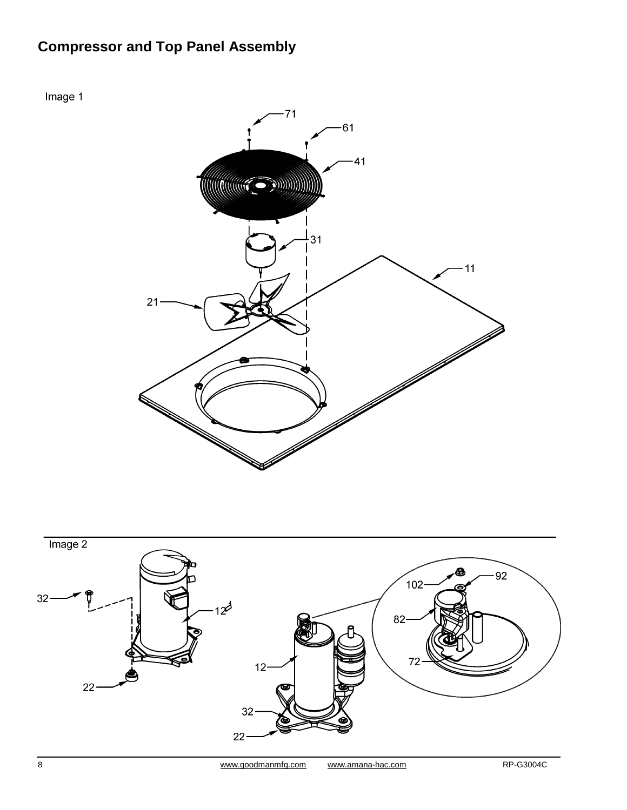# **Compressor and Top Panel Assembly**

Image 1





8 www.goodmanmfg.com www.amana-hac.com RP-G3004C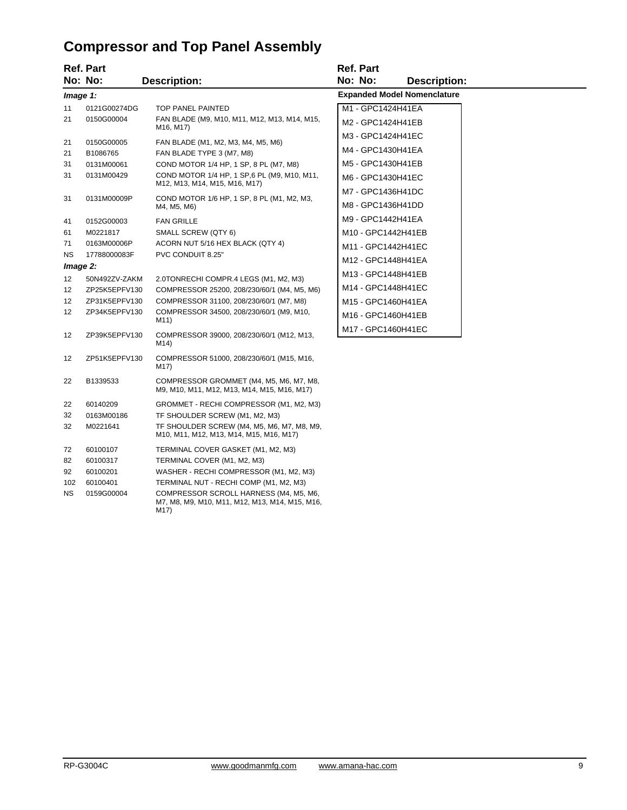# **Compressor and Top Panel Assembly**

|                       | <b>Ref. Part</b>               |                                                                                                  | <b>Ref. Part</b>                   |
|-----------------------|--------------------------------|--------------------------------------------------------------------------------------------------|------------------------------------|
|                       | No: No:                        | <b>Description:</b>                                                                              | No: No:<br><b>Description:</b>     |
|                       | Image 1:                       |                                                                                                  | <b>Expanded Model Nomenclature</b> |
| 11                    | 0121G00274DG                   | <b>TOP PANEL PAINTED</b>                                                                         | M1 - GPC1424H41EA                  |
| 21                    | 0150G00004                     | FAN BLADE (M9, M10, M11, M12, M13, M14, M15,<br>M <sub>16</sub> , M <sub>17</sub> )              | M2 - GPC1424H41EB                  |
| 21                    | 0150G00005                     | FAN BLADE (M1, M2, M3, M4, M5, M6)                                                               | M3 - GPC1424H41EC                  |
| 21                    | B1086765                       | FAN BLADE TYPE 3 (M7, M8)                                                                        | M4 - GPC1430H41EA                  |
| 31                    | 0131M00061                     | COND MOTOR 1/4 HP, 1 SP, 8 PL (M7, M8)                                                           | M5 - GPC1430H41EB                  |
| 31                    | 0131M00429                     | COND MOTOR 1/4 HP, 1 SP, 6 PL (M9, M10, M11,<br>M12, M13, M14, M15, M16, M17)                    | M6 - GPC1430H41EC                  |
| 31                    | 0131M00009P                    | COND MOTOR 1/6 HP, 1 SP, 8 PL (M1, M2, M3,                                                       | M7 - GPC1436H41DC                  |
|                       |                                | M4, M5, M6)                                                                                      | M8 - GPC1436H41DD                  |
| 41                    | 0152G00003                     | <b>FAN GRILLE</b>                                                                                | M9 - GPC1442H41EA                  |
| 61                    | M0221817                       | SMALL SCREW (QTY 6)                                                                              | M10 - GPC1442H41EB                 |
| 71                    | 0163M00006P                    | ACORN NUT 5/16 HEX BLACK (QTY 4)                                                                 | M11 - GPC1442H41EC                 |
| <b>NS</b>             | 17788000083F                   | PVC CONDUIT 8.25"                                                                                | M12 - GPC1448H41EA                 |
|                       | Image 2:                       |                                                                                                  | M13 - GPC1448H41EB                 |
| 12 <sup>2</sup>       | 50N492ZV-ZAKM                  | 2.0TONRECHI COMPR.4 LEGS (M1, M2, M3)                                                            | M14 - GPC1448H41EC                 |
| 12 <sup>2</sup><br>12 | ZP25K5EPFV130                  | COMPRESSOR 25200, 208/230/60/1 (M4, M5, M6)                                                      |                                    |
| 12 <sup>2</sup>       | ZP31K5EPFV130<br>ZP34K5EPFV130 | COMPRESSOR 31100, 208/230/60/1 (M7, M8)<br>COMPRESSOR 34500, 208/230/60/1 (M9, M10,              | M15 - GPC1460H41EA                 |
|                       |                                | M11)                                                                                             | M16 - GPC1460H41EB                 |
| 12                    | ZP39K5EPFV130                  | COMPRESSOR 39000, 208/230/60/1 (M12, M13,<br>M14)                                                | M17 - GPC1460H41EC                 |
| 12                    | ZP51K5EPFV130                  | COMPRESSOR 51000, 208/230/60/1 (M15, M16,<br>M17)                                                |                                    |
| 22                    | B1339533                       | COMPRESSOR GROMMET (M4, M5, M6, M7, M8,<br>M9, M10, M11, M12, M13, M14, M15, M16, M17)           |                                    |
| 22                    | 60140209                       | GROMMET - RECHI COMPRESSOR (M1, M2, M3)                                                          |                                    |
| 32                    | 0163M00186                     | TF SHOULDER SCREW (M1, M2, M3)                                                                   |                                    |
| 32                    | M0221641                       | TF SHOULDER SCREW (M4, M5, M6, M7, M8, M9,<br>M10, M11, M12, M13, M14, M15, M16, M17)            |                                    |
| 72                    | 60100107                       | TERMINAL COVER GASKET (M1, M2, M3)                                                               |                                    |
| 82                    | 60100317                       | TERMINAL COVER (M1, M2, M3)                                                                      |                                    |
| 92                    | 60100201                       | WASHER - RECHI COMPRESSOR (M1, M2, M3)                                                           |                                    |
| 102                   | 60100401                       | TERMINAL NUT - RECHI COMP (M1, M2, M3)                                                           |                                    |
| <b>NS</b>             | 0159G00004                     | COMPRESSOR SCROLL HARNESS (M4, M5, M6,<br>M7, M8, M9, M10, M11, M12, M13, M14, M15, M16,<br>M17) |                                    |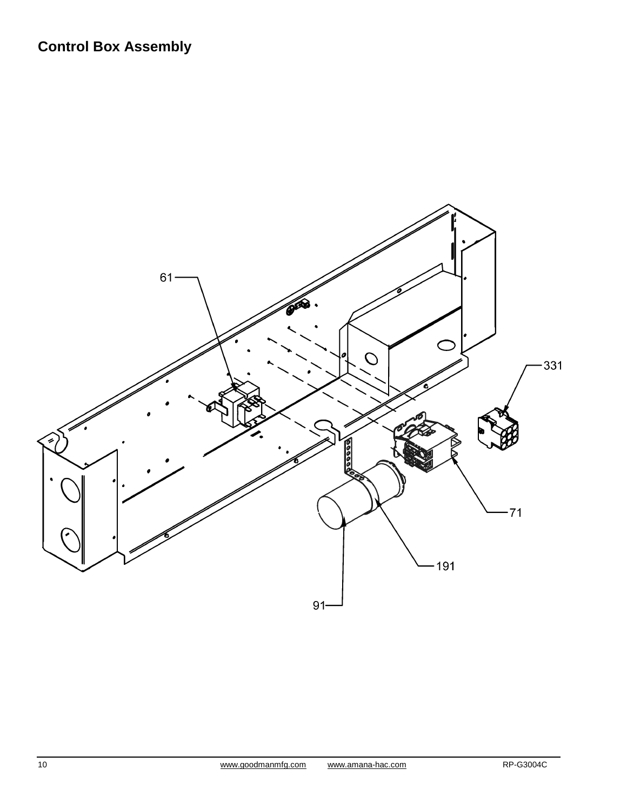# **Control Box Assembly**

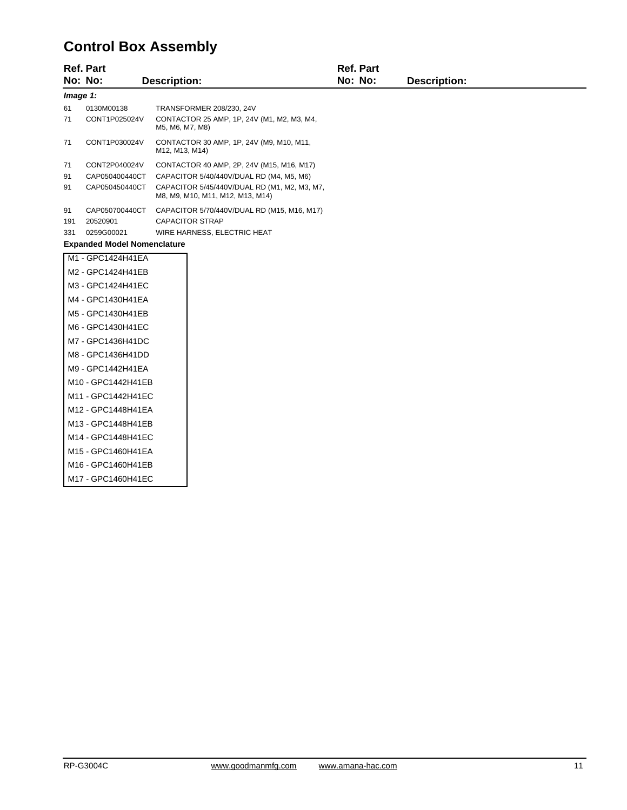# **Control Box Assembly**

|                    | <b>Ref. Part</b>                   |                                                                                  | <b>Ref. Part</b> |                     |  |  |  |
|--------------------|------------------------------------|----------------------------------------------------------------------------------|------------------|---------------------|--|--|--|
|                    | No: No:                            | <b>Description:</b>                                                              | No: No:          | <b>Description:</b> |  |  |  |
|                    | Image 1:                           |                                                                                  |                  |                     |  |  |  |
| 61                 | 0130M00138                         | TRANSFORMER 208/230, 24V                                                         |                  |                     |  |  |  |
| 71                 | CONT1P025024V                      | CONTACTOR 25 AMP, 1P, 24V (M1, M2, M3, M4,<br>M5, M6, M7, M8)                    |                  |                     |  |  |  |
| 71                 | CONT1P030024V                      | CONTACTOR 30 AMP, 1P, 24V (M9, M10, M11,<br>M12, M13, M14)                       |                  |                     |  |  |  |
| 71                 | CONT2P040024V                      | CONTACTOR 40 AMP, 2P, 24V (M15, M16, M17)                                        |                  |                     |  |  |  |
| 91                 | CAP050400440CT                     | CAPACITOR 5/40/440V/DUAL RD (M4, M5, M6)                                         |                  |                     |  |  |  |
| 91                 | CAP050450440CT                     | CAPACITOR 5/45/440V/DUAL RD (M1, M2, M3, M7,<br>M8, M9, M10, M11, M12, M13, M14) |                  |                     |  |  |  |
| 91                 | CAP050700440CT                     | CAPACITOR 5/70/440V/DUAL RD (M15, M16, M17)                                      |                  |                     |  |  |  |
| 191                | 20520901                           | <b>CAPACITOR STRAP</b>                                                           |                  |                     |  |  |  |
| 331                | 0259G00021                         | WIRE HARNESS, ELECTRIC HEAT                                                      |                  |                     |  |  |  |
|                    | <b>Expanded Model Nomenclature</b> |                                                                                  |                  |                     |  |  |  |
|                    | M1 - GPC1424H41EA                  |                                                                                  |                  |                     |  |  |  |
|                    | M2 - GPC1424H41EB                  |                                                                                  |                  |                     |  |  |  |
|                    | M3 - GPC1424H41EC                  |                                                                                  |                  |                     |  |  |  |
|                    | M4 - GPC1430H41EA                  |                                                                                  |                  |                     |  |  |  |
|                    | M5 - GPC1430H41EB                  |                                                                                  |                  |                     |  |  |  |
|                    | M6 - GPC1430H41EC                  |                                                                                  |                  |                     |  |  |  |
|                    | M7 - GPC1436H41DC                  |                                                                                  |                  |                     |  |  |  |
|                    | M8 - GPC1436H41DD                  |                                                                                  |                  |                     |  |  |  |
|                    | M9 - GPC1442H41EA                  |                                                                                  |                  |                     |  |  |  |
|                    | M10 - GPC1442H41EB                 |                                                                                  |                  |                     |  |  |  |
|                    | M11 - GPC1442H41EC                 |                                                                                  |                  |                     |  |  |  |
|                    | M12 - GPC1448H41EA                 |                                                                                  |                  |                     |  |  |  |
|                    | M13 - GPC1448H41EB                 |                                                                                  |                  |                     |  |  |  |
|                    | M14 - GPC1448H41EC                 |                                                                                  |                  |                     |  |  |  |
| M15 - GPC1460H41EA |                                    |                                                                                  |                  |                     |  |  |  |
|                    | M16 - GPC1460H41EB                 |                                                                                  |                  |                     |  |  |  |
| M17 - GPC1460H41EC |                                    |                                                                                  |                  |                     |  |  |  |
|                    |                                    |                                                                                  |                  |                     |  |  |  |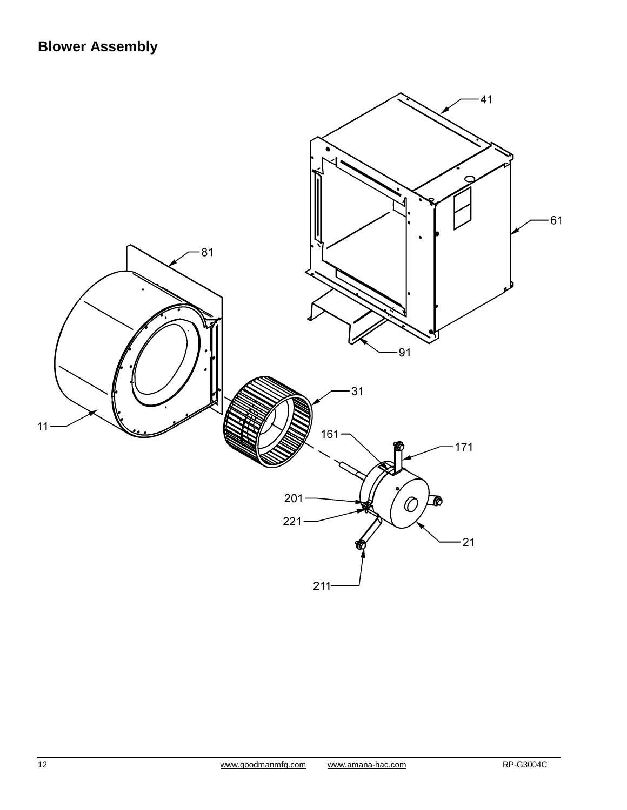# **Blower Assembly**